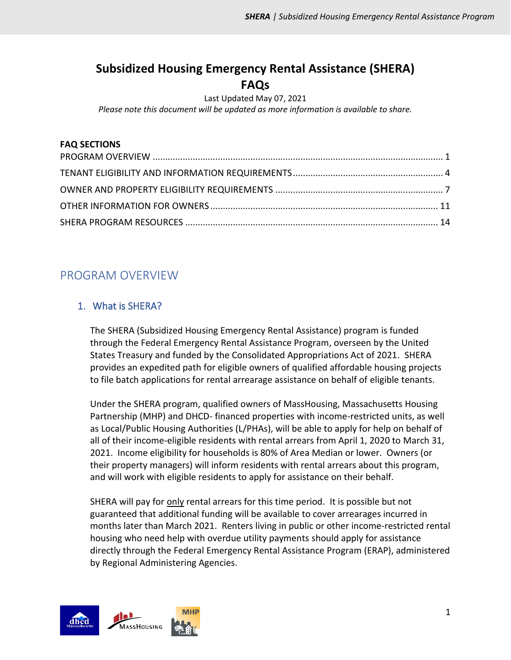# **Subsidized Housing Emergency Rental Assistance (SHERA) FAQs**

Last Updated May 07, 2021

*Please note this document will be updated as more information is available to share.*

#### **FAQ SECTIONS**

# <span id="page-0-0"></span>PROGRAM OVERVIEW

# 1. What is SHERA?

The SHERA (Subsidized Housing Emergency Rental Assistance) program is funded through the Federal Emergency Rental Assistance Program, overseen by the United States Treasury and funded by the Consolidated Appropriations Act of 2021. SHERA provides an expedited path for eligible owners of qualified affordable housing projects to file batch applications for rental arrearage assistance on behalf of eligible tenants.

Under the SHERA program, qualified owners of MassHousing, Massachusetts Housing Partnership (MHP) and DHCD- financed properties with income-restricted units, as well as Local/Public Housing Authorities (L/PHAs), will be able to apply for help on behalf of all of their income-eligible residents with rental arrears from April 1, 2020 to March 31, 2021. Income eligibility for households is 80% of Area Median or lower. Owners (or their property managers) will inform residents with rental arrears about this program, and will work with eligible residents to apply for assistance on their behalf.

SHERA will pay for only rental arrears for this time period. It is possible but not guaranteed that additional funding will be available to cover arrearages incurred in months later than March 2021. Renters living in public or other income-restricted rental housing who need help with overdue utility payments should apply for assistance directly through the Federal Emergency Rental Assistance Program (ERAP), administered by Regional Administering Agencies.

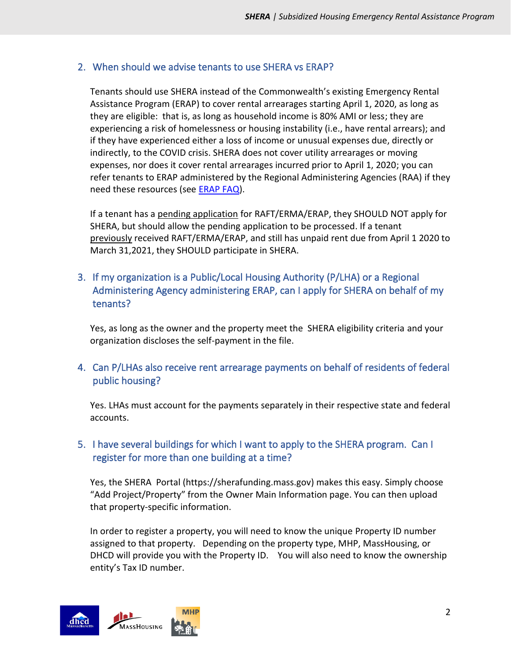## 2. When should we advise tenants to use SHERA vs ERAP?

Tenants should use SHERA instead of the Commonwealth's existing Emergency Rental Assistance Program (ERAP) to cover rental arrearages starting April 1, 2020, as long as they are eligible: that is, as long as household income is 80% AMI or less; they are experiencing a risk of homelessness or housing instability (i.e., have rental arrears); and if they have experienced either a loss of income or unusual expenses due, directly or indirectly, to the COVID crisis. SHERA does not cover utility arrearages or moving expenses, nor does it cover rental arrearages incurred prior to April 1, 2020; you can refer tenants to ERAP administered by the Regional Administering Agencies (RAA) if they need these resources (see [ERAP FAQ\)](https://www.mass.gov/doc/federal-emergency-rental-assistance-program-erap-faqs/download).

If a tenant has a pending application for RAFT/ERMA/ERAP, they SHOULD NOT apply for SHERA, but should allow the pending application to be processed. If a tenant previously received RAFT/ERMA/ERAP, and still has unpaid rent due from April 1 2020 to March 31,2021, they SHOULD participate in SHERA.

3. If my organization is a Public/Local Housing Authority (P/LHA) or a Regional Administering Agency administering ERAP, can I apply for SHERA on behalf of my tenants?

Yes, as long as the owner and the property meet the SHERA eligibility criteria and your organization discloses the self-payment in the file.

4. Can P/LHAs also receive rent arrearage payments on behalf of residents of federal public housing?

Yes. LHAs must account for the payments separately in their respective state and federal accounts.

## 5. I have several buildings for which I want to apply to the SHERA program. Can I register for more than one building at a time?

Yes, the SHERA Portal (https://sherafunding.mass.gov) makes this easy. Simply choose "Add Project/Property" from the Owner Main Information page. You can then upload that property-specific information.

In order to register a property, you will need to know the unique Property ID number assigned to that property. Depending on the property type, MHP, MassHousing, or DHCD will provide you with the Property ID. You will also need to know the ownership entity's Tax ID number.

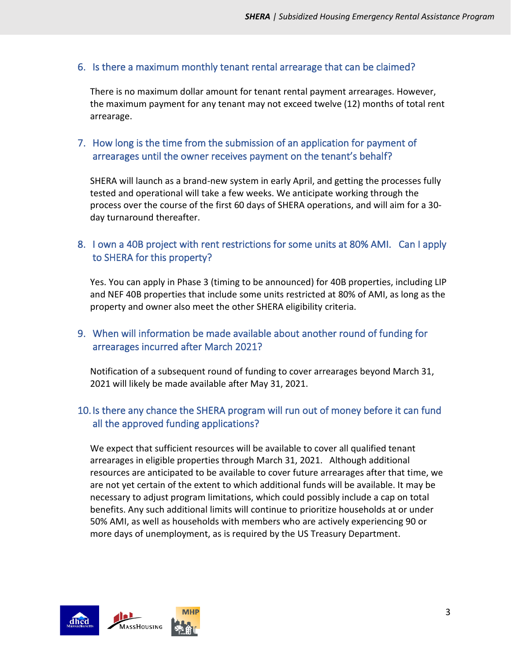#### 6. Is there a maximum monthly tenant rental arrearage that can be claimed?

There is no maximum dollar amount for tenant rental payment arrearages. However, the maximum payment for any tenant may not exceed twelve (12) months of total rent arrearage.

### 7. How long is the time from the submission of an application for payment of arrearages until the owner receives payment on the tenant's behalf?

SHERA will launch as a brand-new system in early April, and getting the processes fully tested and operational will take a few weeks. We anticipate working through the process over the course of the first 60 days of SHERA operations, and will aim for a 30 day turnaround thereafter.

## 8. I own a 40B project with rent restrictions for some units at 80% AMI. Can I apply to SHERA for this property?

Yes. You can apply in Phase 3 (timing to be announced) for 40B properties, including LIP and NEF 40B properties that include some units restricted at 80% of AMI, as long as the property and owner also meet the other SHERA eligibility criteria.

## 9. When will information be made available about another round of funding for arrearages incurred after March 2021?

Notification of a subsequent round of funding to cover arrearages beyond March 31, 2021 will likely be made available after May 31, 2021.

# 10. Is there any chance the SHERA program will run out of money before it can fund all the approved funding applications?

We expect that sufficient resources will be available to cover all qualified tenant arrearages in eligible properties through March 31, 2021. Although additional resources are anticipated to be available to cover future arrearages after that time, we are not yet certain of the extent to which additional funds will be available. It may be necessary to adjust program limitations, which could possibly include a cap on total benefits. Any such additional limits will continue to prioritize households at or under 50% AMI, as well as households with members who are actively experiencing 90 or more days of unemployment, as is required by the US Treasury Department.

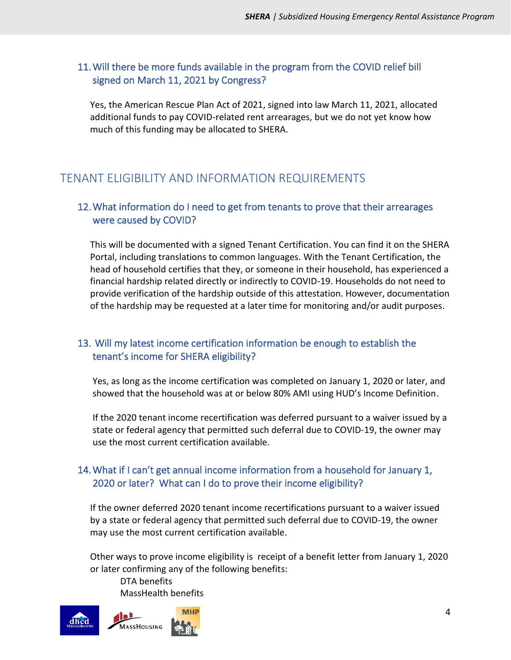### 11.Will there be more funds available in the program from the COVID relief bill signed on March 11, 2021 by Congress?

Yes, the American Rescue Plan Act of 2021, signed into law March 11, 2021, allocated additional funds to pay COVID-related rent arrearages, but we do not yet know how much of this funding may be allocated to SHERA.

# <span id="page-3-0"></span>TENANT ELIGIBILITY AND INFORMATION REQUIREMENTS

### 12.What information do I need to get from tenants to prove that their arrearages were caused by COVID?

This will be documented with a signed Tenant Certification. You can find it on the SHERA Portal, including translations to common languages. With the Tenant Certification, the head of household certifies that they, or someone in their household, has experienced a financial hardship related directly or indirectly to COVID-19. Households do not need to provide verification of the hardship outside of this attestation. However, documentation of the hardship may be requested at a later time for monitoring and/or audit purposes.

## 13. Will my latest income certification information be enough to establish the tenant's income for SHERA eligibility?

Yes, as long as the income certification was completed on January 1, 2020 or later, and showed that the household was at or below 80% AMI using HUD's Income Definition.

If the 2020 tenant income recertification was deferred pursuant to a waiver issued by a state or federal agency that permitted such deferral due to COVID-19, the owner may use the most current certification available.

#### 14.What if I can't get annual income information from a household for January 1, 2020 or later? What can I do to prove their income eligibility?

If the owner deferred 2020 tenant income recertifications pursuant to a waiver issued by a state or federal agency that permitted such deferral due to COVID-19, the owner may use the most current certification available.

Other ways to prove income eligibility is receipt of a benefit letter from January 1, 2020 or later confirming any of the following benefits:

DTA benefits MassHealth benefits

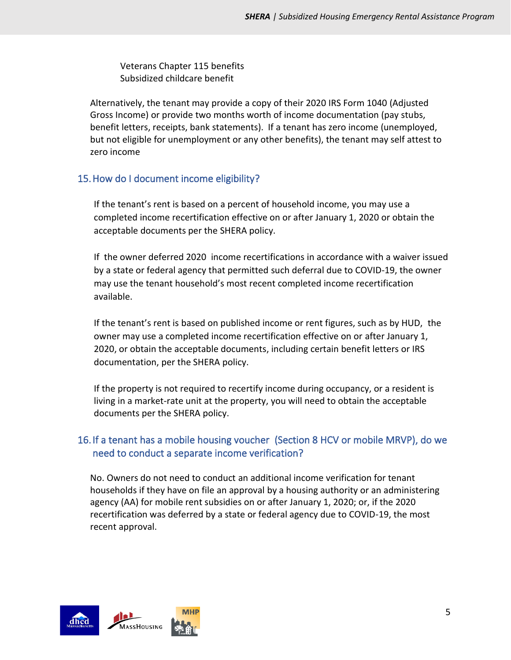Veterans Chapter 115 benefits Subsidized childcare benefit

Alternatively, the tenant may provide a copy of their 2020 IRS Form 1040 (Adjusted Gross Income) or provide two months worth of income documentation (pay stubs, benefit letters, receipts, bank statements). If a tenant has zero income (unemployed, but not eligible for unemployment or any other benefits), the tenant may self attest to zero income

## 15.How do I document income eligibility?

If the tenant's rent is based on a percent of household income, you may use a completed income recertification effective on or after January 1, 2020 or obtain the acceptable documents per the SHERA policy.

If the owner deferred 2020 income recertifications in accordance with a waiver issued by a state or federal agency that permitted such deferral due to COVID-19, the owner may use the tenant household's most recent completed income recertification available.

If the tenant's rent is based on published income or rent figures, such as by HUD, the owner may use a completed income recertification effective on or after January 1, 2020, or obtain the acceptable documents, including certain benefit letters or IRS documentation, per the SHERA policy.

If the property is not required to recertify income during occupancy, or a resident is living in a market-rate unit at the property, you will need to obtain the acceptable documents per the SHERA policy.

# 16. If a tenant has a mobile housing voucher (Section 8 HCV or mobile MRVP), do we need to conduct a separate income verification?

No. Owners do not need to conduct an additional income verification for tenant households if they have on file an approval by a housing authority or an administering agency (AA) for mobile rent subsidies on or after January 1, 2020; or, if the 2020 recertification was deferred by a state or federal agency due to COVID-19, the most recent approval.

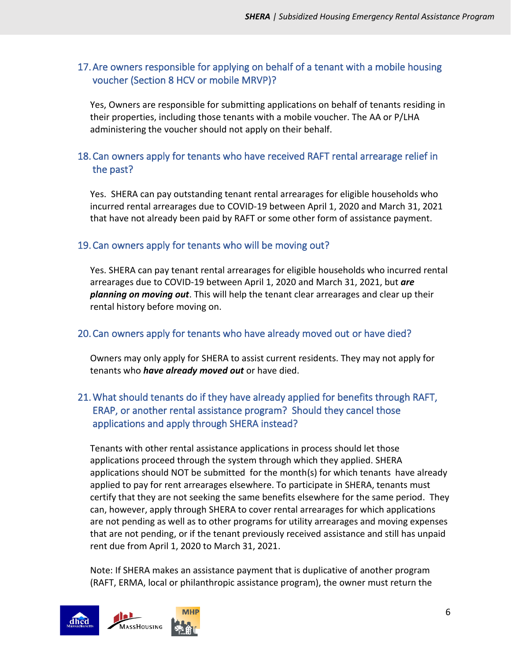#### 17.Are owners responsible for applying on behalf of a tenant with a mobile housing voucher (Section 8 HCV or mobile MRVP)?

Yes, Owners are responsible for submitting applications on behalf of tenants residing in their properties, including those tenants with a mobile voucher. The AA or P/LHA administering the voucher should not apply on their behalf.

#### 18.Can owners apply for tenants who have received RAFT rental arrearage relief in the past?

Yes. SHERA can pay outstanding tenant rental arrearages for eligible households who incurred rental arrearages due to COVID-19 between April 1, 2020 and March 31, 2021 that have not already been paid by RAFT or some other form of assistance payment.

#### 19.Can owners apply for tenants who will be moving out?

Yes. SHERA can pay tenant rental arrearages for eligible households who incurred rental arrearages due to COVID-19 between April 1, 2020 and March 31, 2021, but *are planning on moving out*. This will help the tenant clear arrearages and clear up their rental history before moving on.

#### 20.Can owners apply for tenants who have already moved out or have died?

Owners may only apply for SHERA to assist current residents. They may not apply for tenants who *have already moved out* or have died.

## 21.What should tenants do if they have already applied for benefits through RAFT, ERAP, or another rental assistance program? Should they cancel those applications and apply through SHERA instead?

Tenants with other rental assistance applications in process should let those applications proceed through the system through which they applied. SHERA applications should NOT be submitted for the month(s) for which tenants have already applied to pay for rent arrearages elsewhere. To participate in SHERA, tenants must certify that they are not seeking the same benefits elsewhere for the same period. They can, however, apply through SHERA to cover rental arrearages for which applications are not pending as well as to other programs for utility arrearages and moving expenses that are not pending, or if the tenant previously received assistance and still has unpaid rent due from April 1, 2020 to March 31, 2021.

Note: If SHERA makes an assistance payment that is duplicative of another program (RAFT, ERMA, local or philanthropic assistance program), the owner must return the

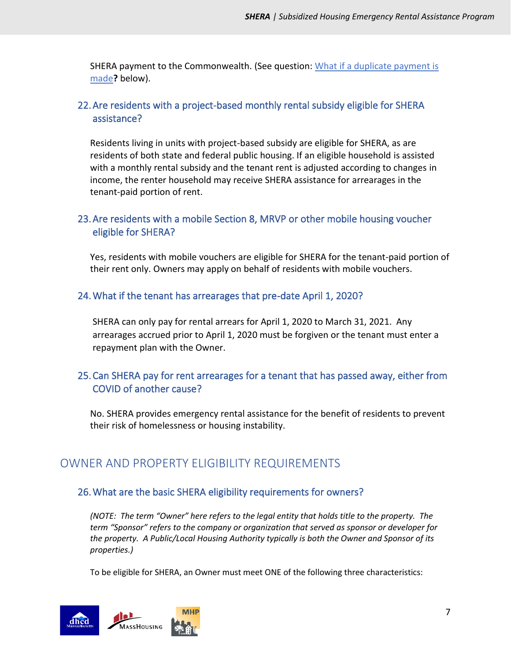SHERA payment to the Commonwealth. (See question: [What if a duplicate payment is](#page-10-1)  [made](#page-10-1)**?** below).

## 22.Are residents with a project-based monthly rental subsidy eligible for SHERA assistance?

Residents living in units with project-based subsidy are eligible for SHERA, as are residents of both state and federal public housing. If an eligible household is assisted with a monthly rental subsidy and the tenant rent is adjusted according to changes in income, the renter household may receive SHERA assistance for arrearages in the tenant-paid portion of rent.

### 23.Are residents with a mobile Section 8, MRVP or other mobile housing voucher eligible for SHERA?

Yes, residents with mobile vouchers are eligible for SHERA for the tenant-paid portion of their rent only. Owners may apply on behalf of residents with mobile vouchers.

#### 24.What if the tenant has arrearages that pre-date April 1, 2020?

SHERA can only pay for rental arrears for April 1, 2020 to March 31, 2021. Any arrearages accrued prior to April 1, 2020 must be forgiven or the tenant must enter a repayment plan with the Owner.

## 25.Can SHERA pay for rent arrearages for a tenant that has passed away, either from COVID of another cause?

No. SHERA provides emergency rental assistance for the benefit of residents to prevent their risk of homelessness or housing instability.

# <span id="page-6-0"></span>OWNER AND PROPERTY ELIGIBILITY REQUIREMENTS

#### 26.What are the basic SHERA eligibility requirements for owners?

*(NOTE: The term "Owner" here refers to the legal entity that holds title to the property. The term "Sponsor" refers to the company or organization that served as sponsor or developer for the property. A Public/Local Housing Authority typically is both the Owner and Sponsor of its properties.)*

To be eligible for SHERA, an Owner must meet ONE of the following three characteristics:

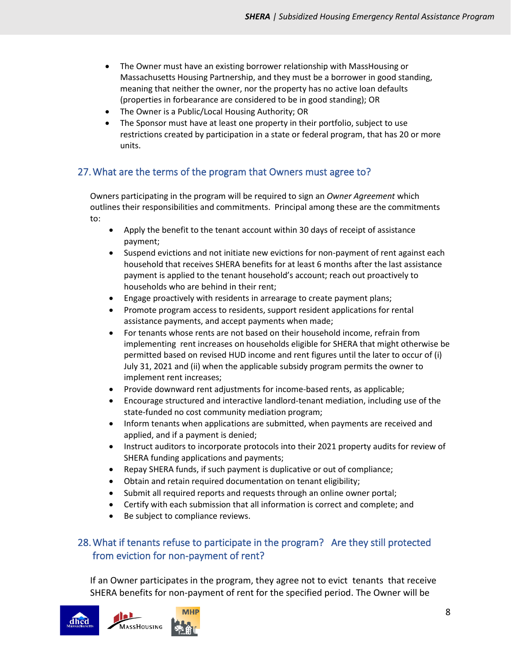- The Owner must have an existing borrower relationship with MassHousing or Massachusetts Housing Partnership, and they must be a borrower in good standing, meaning that neither the owner, nor the property has no active loan defaults (properties in forbearance are considered to be in good standing); OR
- The Owner is a Public/Local Housing Authority; OR
- The Sponsor must have at least one property in their portfolio, subject to use restrictions created by participation in a state or federal program, that has 20 or more units.

#### 27.What are the terms of the program that Owners must agree to?

Owners participating in the program will be required to sign an *Owner Agreement* which outlines their responsibilities and commitments. Principal among these are the commitments to:

- Apply the benefit to the tenant account within 30 days of receipt of assistance payment;
- Suspend evictions and not initiate new evictions for non-payment of rent against each household that receives SHERA benefits for at least 6 months after the last assistance payment is applied to the tenant household's account; reach out proactively to households who are behind in their rent;
- Engage proactively with residents in arrearage to create payment plans;
- Promote program access to residents, support resident applications for rental assistance payments, and accept payments when made;
- For tenants whose rents are not based on their household income, refrain from implementing rent increases on households eligible for SHERA that might otherwise be permitted based on revised HUD income and rent figures until the later to occur of (i) July 31, 2021 and (ii) when the applicable subsidy program permits the owner to implement rent increases;
- Provide downward rent adjustments for income-based rents, as applicable;
- Encourage structured and interactive landlord-tenant mediation, including use of the state-funded no cost community mediation program;
- Inform tenants when applications are submitted, when payments are received and applied, and if a payment is denied;
- Instruct auditors to incorporate protocols into their 2021 property audits for review of SHERA funding applications and payments;
- Repay SHERA funds, if such payment is duplicative or out of compliance;
- Obtain and retain required documentation on tenant eligibility;
- Submit all required reports and requests through an online owner portal;
- Certify with each submission that all information is correct and complete; and
- Be subject to compliance reviews.

## 28.What if tenants refuse to participate in the program? Are they still protected from eviction for non-payment of rent?

If an Owner participates in the program, they agree not to evict tenants that receive SHERA benefits for non-payment of rent for the specified period. The Owner will be

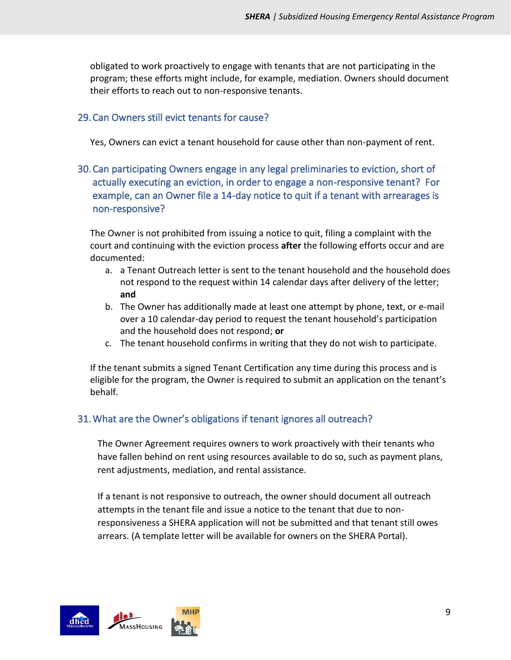obligated to work proactively to engage with tenants that are not participating in the program; these efforts might include, for example, mediation. Owners should document their efforts to reach out to non-responsive tenants.

### 29.Can Owners still evict tenants for cause?

Yes, Owners can evict a tenant household for cause other than non-payment of rent.

## 30.Can participating Owners engage in any legal preliminaries to eviction, short of actually executing an eviction, in order to engage a non-responsive tenant? For example, can an Owner file a 14-day notice to quit if a tenant with arrearages is non-responsive?

The Owner is not prohibited from issuing a notice to quit, filing a complaint with the court and continuing with the eviction process **after** the following efforts occur and are documented:

- a. a Tenant Outreach letter is sent to the tenant household and the household does not respond to the request within 14 calendar days after delivery of the letter; **and**
- b. The Owner has additionally made at least one attempt by phone, text, or e-mail over a 10 calendar-day period to request the tenant household's participation and the household does not respond; **or**
- c. The tenant household confirms in writing that they do not wish to participate.

If the tenant submits a signed Tenant Certification any time during this process and is eligible for the program, the Owner is required to submit an application on the tenant's behalf.

# 31.What are the Owner's obligations if tenant ignores all outreach?

The Owner Agreement requires owners to work proactively with their tenants who have fallen behind on rent using resources available to do so, such as payment plans, rent adjustments, mediation, and rental assistance.

If a tenant is not responsive to outreach, the owner should document all outreach attempts in the tenant file and issue a notice to the tenant that due to nonresponsiveness a SHERA application will not be submitted and that tenant still owes arrears. (A template letter will be available for owners on the SHERA Portal).

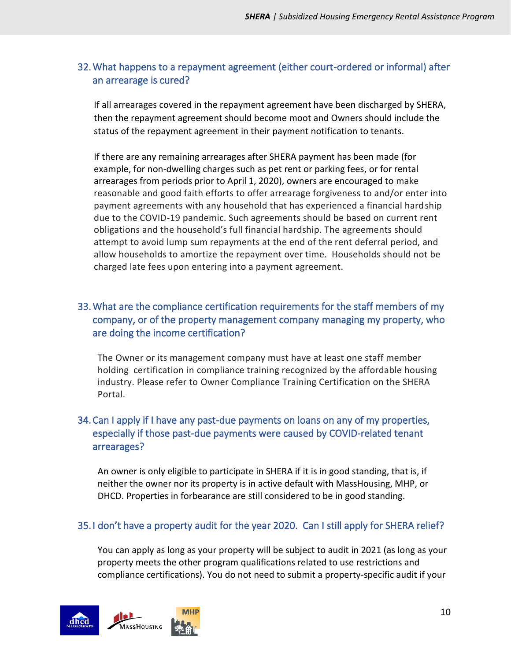### 32.What happens to a repayment agreement (either court-ordered or informal) after an arrearage is cured?

If all arrearages covered in the repayment agreement have been discharged by SHERA, then the repayment agreement should become moot and Owners should include the status of the repayment agreement in their payment notification to tenants.

If there are any remaining arrearages after SHERA payment has been made (for example, for non-dwelling charges such as pet rent or parking fees, or for rental arrearages from periods prior to April 1, 2020), owners are encouraged to make reasonable and good faith efforts to offer arrearage forgiveness to and/or enter into payment agreements with any household that has experienced a financial hardship due to the COVID-19 pandemic. Such agreements should be based on current rent obligations and the household's full financial hardship. The agreements should attempt to avoid lump sum repayments at the end of the rent deferral period, and allow households to amortize the repayment over time. Households should not be charged late fees upon entering into a payment agreement.

## 33.What are the compliance certification requirements for the staff members of my company, or of the property management company managing my property, who are doing the income certification?

The Owner or its management company must have at least one staff member holding certification in compliance training recognized by the affordable housing industry. Please refer to Owner Compliance Training Certification on the SHERA Portal.

### 34.Can I apply if I have any past-due payments on loans on any of my properties, especially if those past-due payments were caused by COVID-related tenant arrearages?

An owner is only eligible to participate in SHERA if it is in good standing, that is, if neither the owner nor its property is in active default with MassHousing, MHP, or DHCD. Properties in forbearance are still considered to be in good standing.

#### 35. I don't have a property audit for the year 2020. Can I still apply for SHERA relief?

You can apply as long as your property will be subject to audit in 2021 (as long as your property meets the other program qualifications related to use restrictions and compliance certifications). You do not need to submit a property-specific audit if your

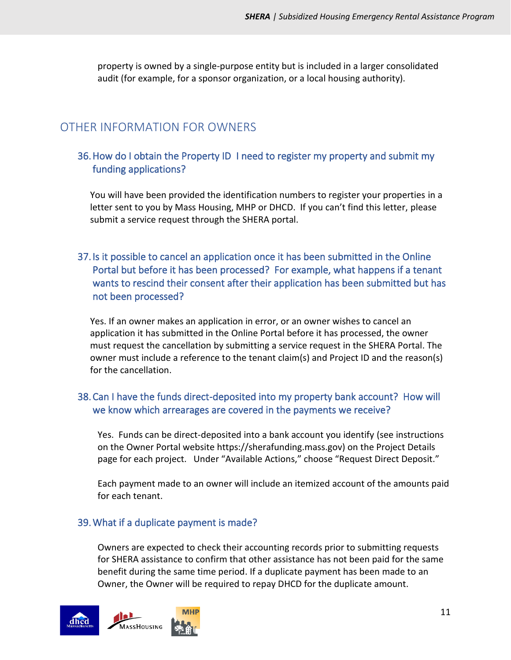property is owned by a single-purpose entity but is included in a larger consolidated audit (for example, for a sponsor organization, or a local housing authority).

# <span id="page-10-0"></span>OTHER INFORMATION FOR OWNERS

#### 36.How do I obtain the Property ID I need to register my property and submit my funding applications?

You will have been provided the identification numbers to register your properties in a letter sent to you by Mass Housing, MHP or DHCD. If you can't find this letter, please submit a service request through the SHERA portal.

## 37. Is it possible to cancel an application once it has been submitted in the Online Portal but before it has been processed? For example, what happens if a tenant wants to rescind their consent after their application has been submitted but has not been processed?

Yes. If an owner makes an application in error, or an owner wishes to cancel an application it has submitted in the Online Portal before it has processed, the owner must request the cancellation by submitting a service request in the SHERA Portal. The owner must include a reference to the tenant claim(s) and Project ID and the reason(s) for the cancellation.

#### 38.Can I have the funds direct-deposited into my property bank account? How will we know which arrearages are covered in the payments we receive?

Yes. Funds can be direct-deposited into a bank account you identify (see instructions on the Owner Portal website https://sherafunding.mass.gov) on the Project Details page for each project. Under "Available Actions," choose "Request Direct Deposit."

Each payment made to an owner will include an itemized account of the amounts paid for each tenant.

#### <span id="page-10-1"></span>39.What if a duplicate payment is made?

Owners are expected to check their accounting records prior to submitting requests for SHERA assistance to confirm that other assistance has not been paid for the same benefit during the same time period. If a duplicate payment has been made to an Owner, the Owner will be required to repay DHCD for the duplicate amount.

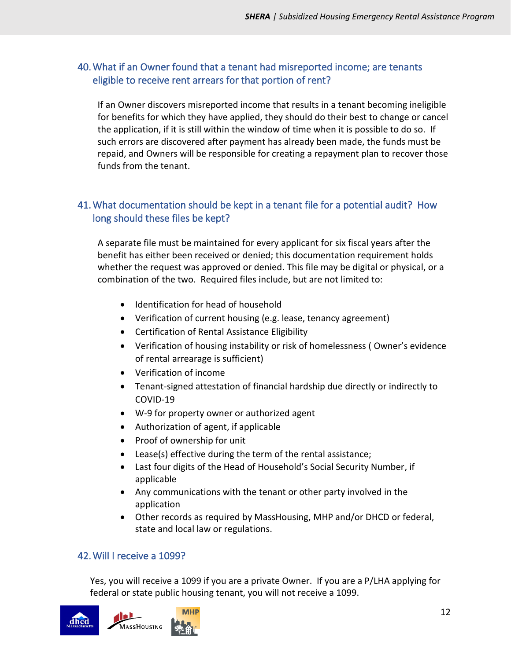### 40.What if an Owner found that a tenant had misreported income; are tenants eligible to receive rent arrears for that portion of rent?

If an Owner discovers misreported income that results in a tenant becoming ineligible for benefits for which they have applied, they should do their best to change or cancel the application, if it is still within the window of time when it is possible to do so. If such errors are discovered after payment has already been made, the funds must be repaid, and Owners will be responsible for creating a repayment plan to recover those funds from the tenant.

## 41.What documentation should be kept in a tenant file for a potential audit? How long should these files be kept?

A separate file must be maintained for every applicant for six fiscal years after the benefit has either been received or denied; this documentation requirement holds whether the request was approved or denied. This file may be digital or physical, or a combination of the two. Required files include, but are not limited to:

- Identification for head of household
- Verification of current housing (e.g. lease, tenancy agreement)
- Certification of Rental Assistance Eligibility
- Verification of housing instability or risk of homelessness ( Owner's evidence of rental arrearage is sufficient)
- Verification of income
- Tenant-signed attestation of financial hardship due directly or indirectly to COVID-19
- W-9 for property owner or authorized agent
- Authorization of agent, if applicable
- Proof of ownership for unit
- Lease(s) effective during the term of the rental assistance;
- Last four digits of the Head of Household's Social Security Number, if applicable
- Any communications with the tenant or other party involved in the application
- Other records as required by MassHousing, MHP and/or DHCD or federal, state and local law or regulations.

#### 42.Will I receive a 1099?

Yes, you will receive a 1099 if you are a private Owner. If you are a P/LHA applying for federal or state public housing tenant, you will not receive a 1099.

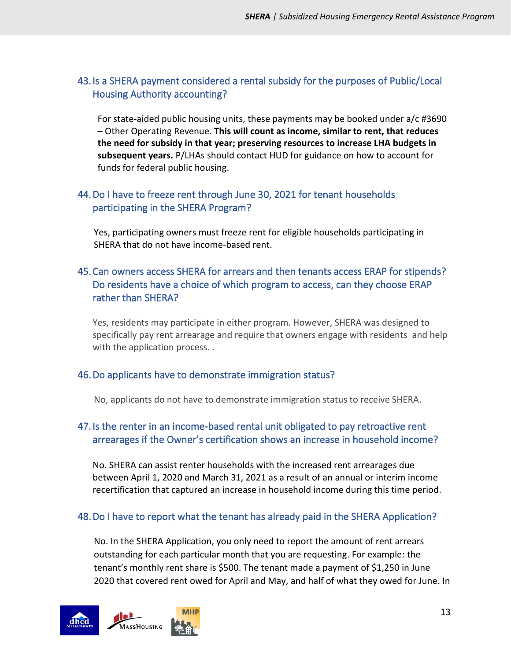## 43. Is a SHERA payment considered a rental subsidy for the purposes of Public/Local Housing Authority accounting?

For state-aided public housing units, these payments may be booked under a/c #3690 – Other Operating Revenue. **This will count as income, similar to rent, that reduces the need for subsidy in that year; preserving resources to increase LHA budgets in subsequent years.** P/LHAs should contact HUD for guidance on how to account for funds for federal public housing.

## 44.Do I have to freeze rent through June 30, 2021 for tenant households participating in the SHERA Program?

Yes, participating owners must freeze rent for eligible households participating in SHERA that do not have income-based rent.

## 45.Can owners access SHERA for arrears and then tenants access ERAP for stipends? Do residents have a choice of which program to access, can they choose ERAP rather than SHERA?

Yes, residents may participate in either program. However, SHERA was designed to specifically pay rent arrearage and require that owners engage with residents and help with the application process...

#### 46.Do applicants have to demonstrate immigration status?

No, applicants do not have to demonstrate immigration status to receive SHERA.

# 47. Is the renter in an income-based rental unit obligated to pay retroactive rent arrearages if the Owner's certification shows an increase in household income?

No. SHERA can assist renter households with the increased rent arrearages due between April 1, 2020 and March 31, 2021 as a result of an annual or interim income recertification that captured an increase in household income during this time period.

## 48.Do I have to report what the tenant has already paid in the SHERA Application?

No. In the SHERA Application, you only need to report the amount of rent arrears outstanding for each particular month that you are requesting. For example: the tenant's monthly rent share is \$500. The tenant made a payment of \$1,250 in June 2020 that covered rent owed for April and May, and half of what they owed for June. In